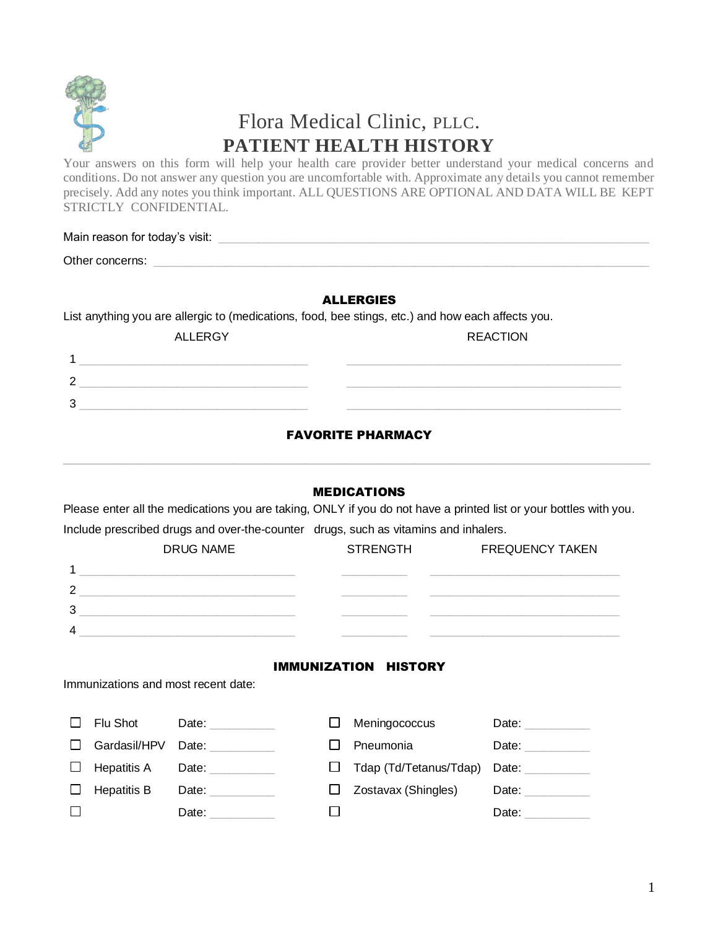# Flora Medical Clinic, PLLC. **PATIENT HEALTH HISTORY**

Your answers on this form will help your health care provider better understand your medical concerns and conditions. Do not answer any question you are uncomfortable with. Approximate any details you cannot remember precisely. Add any notes you think important. ALL QUESTIONS ARE OPTIONAL AND DATA WILL BE KEPT STRICTLY CONFIDENTIAL.

Main reason for today's visit: \_\_\_\_\_\_\_\_\_\_\_\_\_\_\_\_\_\_\_\_\_\_\_\_\_\_\_\_\_\_\_\_\_\_\_\_\_\_\_\_\_\_\_\_\_\_\_\_\_\_\_\_\_\_\_\_\_\_\_\_\_\_\_\_\_\_

Other concerns: \_

## ALLERGIES

List anything you are allergic to (medications, food, bee stings, etc.) and how each affects you.

|   | <b>ALLERGY</b> | <b>REACTION</b> |
|---|----------------|-----------------|
|   |                |                 |
| ╭ |                |                 |
| ◠ |                |                 |

# FAVORITE PHARMACY

 $\_$  , and the state of the state of the state of the state of the state of the state of the state of the state of the state of the state of the state of the state of the state of the state of the state of the state of the

## MEDICATIONS

Please enter all the medications you are taking, ONLY if you do not have a printed list or your bottles with you. Include prescribed drugs and over-the-counter drugs, such as vitamins and inhalers.

|   | <b>DRUG NAME</b> | <b>STRENGTH</b> | <b>FREQUENCY TAKEN</b> |
|---|------------------|-----------------|------------------------|
|   |                  |                 |                        |
| ⌒ |                  |                 |                        |
| ว |                  |                 |                        |
| Δ |                  |                 |                        |

## IMMUNIZATION HISTORY

Immunizations and most recent date:

| $\Box$ | Flu Shot           | Date: the contract of the contract of the contract of the contract of the contract of the contract of the contract of the contract of the contract of the contract of the contract of the contract of the contract of the cont | Meningococcus                              | Date: |
|--------|--------------------|--------------------------------------------------------------------------------------------------------------------------------------------------------------------------------------------------------------------------------|--------------------------------------------|-------|
| $\Box$ | Gardasil/HPV Date: |                                                                                                                                                                                                                                | Pneumonia                                  | Date: |
|        | $\Box$ Hepatitis A | Date: $\rule{1em}{0.15mm}$                                                                                                                                                                                                     | $\Box$ Tdap (Td/Tetanus/Tdap) Date: $\Box$ |       |
| $\Box$ | Hepatitis B        | Date:                                                                                                                                                                                                                          | Zostavax (Shingles)                        | Date: |
| $\Box$ |                    | Date:                                                                                                                                                                                                                          |                                            | Date: |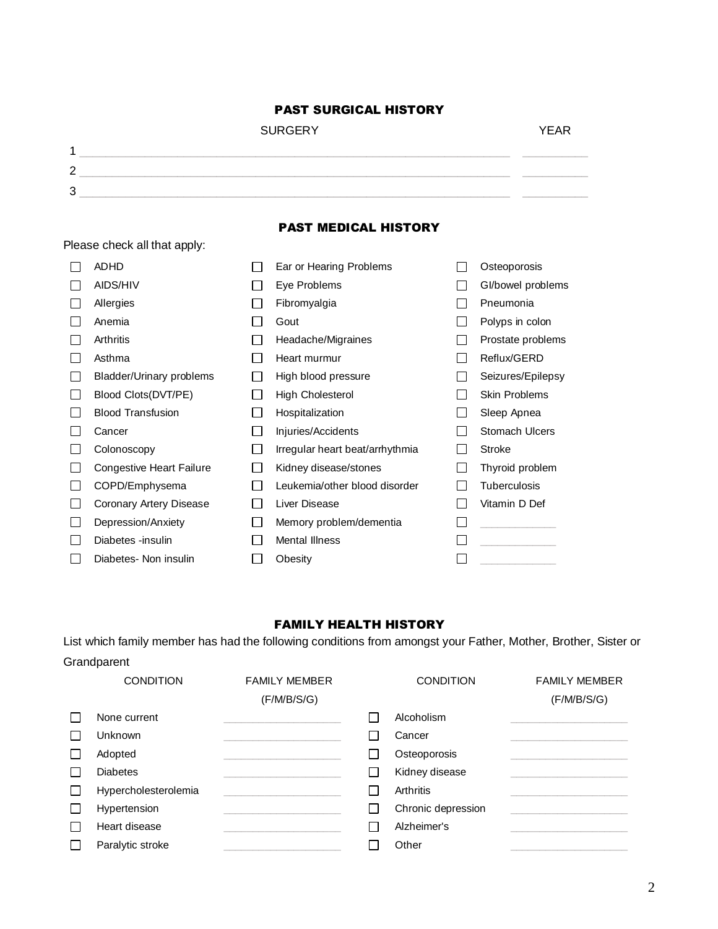#### PAST SURGICAL HISTORY

|  | <b>SURGERY</b> |
|--|----------------|
|  |                |

Y **SURGERY YEAR** 

## PAST MEDICAL HISTORY

Please check all that apply:

|              | <b>ADHD</b>                     |               | Ear or Hearing Problems         | Osteoporosis          |
|--------------|---------------------------------|---------------|---------------------------------|-----------------------|
|              | AIDS/HIV                        |               | Eye Problems                    | Gl/bowel problems     |
| $\mathbf{L}$ | Allergies                       |               | Fibromyalgia                    | Pneumonia             |
| $\mathbf{I}$ | Anemia                          | $\mathbf{r}$  | Gout                            | Polyps in colon       |
|              | Arthritis                       |               | Headache/Migraines              | Prostate problems     |
|              | Asthma                          | n a           | Heart murmur                    | Reflux/GERD           |
| $\mathbf{I}$ | <b>Bladder/Urinary problems</b> | $\mathsf{L}$  | High blood pressure             | Seizures/Epilepsy     |
|              | Blood Clots(DVT/PE)             |               | High Cholesterol                | <b>Skin Problems</b>  |
|              | <b>Blood Transfusion</b>        | $\mathcal{L}$ | Hospitalization                 | Sleep Apnea           |
|              | Cancer                          | $\mathsf{L}$  | Injuries/Accidents              | <b>Stomach Ulcers</b> |
|              | Colonoscopy                     | $\mathbf{I}$  | Irregular heart beat/arrhythmia | Stroke                |
|              | Congestive Heart Failure        | $\mathbf{I}$  | Kidney disease/stones           | Thyroid problem       |
| $\mathbf{I}$ | COPD/Emphysema                  | $\mathsf{L}$  | Leukemia/other blood disorder   | <b>Tuberculosis</b>   |
|              | Coronary Artery Disease         | $\mathbf{I}$  | Liver Disease                   | Vitamin D Def         |
|              | Depression/Anxiety              |               | Memory problem/dementia         |                       |
|              | Diabetes -insulin               |               | Mental Illness                  |                       |
|              | Diabetes- Non insulin           |               | Obesity                         |                       |

# FAMILY HEALTH HISTORY

List which family member has had the following conditions from amongst your Father, Mother, Brother, Sister or Grandparent

| <b>CONDITION</b>     | <b>FAMILY MEMBER</b><br>(F/M/B/S/G) | <b>CONDITION</b>   | <b>FAMILY MEMBER</b><br>(F/M/B/S/G) |
|----------------------|-------------------------------------|--------------------|-------------------------------------|
| None current         |                                     | Alcoholism         |                                     |
| <b>Unknown</b>       |                                     | Cancer             |                                     |
| Adopted              |                                     | Osteoporosis       |                                     |
| <b>Diabetes</b>      |                                     | Kidney disease     |                                     |
| Hypercholesterolemia |                                     | Arthritis          |                                     |
| Hypertension         |                                     | Chronic depression |                                     |
| Heart disease        |                                     | Alzheimer's        |                                     |
| Paralytic stroke     |                                     | Other              |                                     |